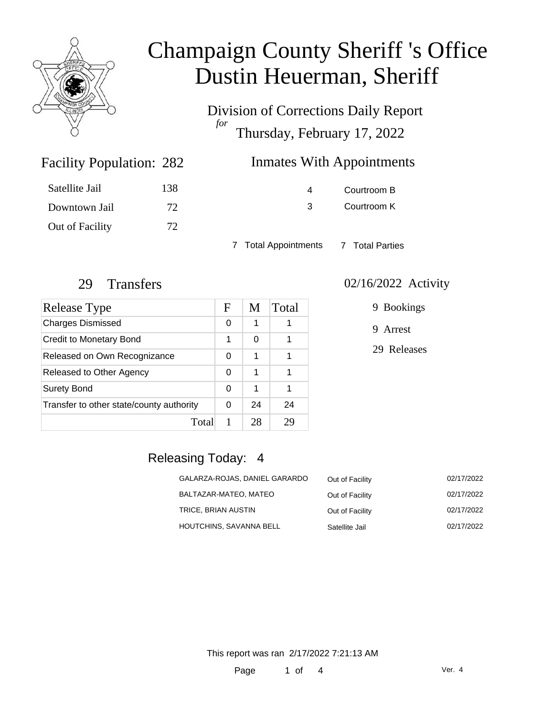

Division of Corrections Daily Report *for* Thursday, February 17, 2022

### Inmates With Appointments

| Satellite Jail  | 138 |
|-----------------|-----|
| Downtown Jail   | 72  |
| Out of Facility | 72  |

Facility Population: 282

4 Courtroom B 3 Courtroom K

7 Total Appointments 7 Total Parties

| Release Type                             |   | M  | Total |
|------------------------------------------|---|----|-------|
| <b>Charges Dismissed</b>                 | 0 | 1  |       |
| Credit to Monetary Bond                  |   | 0  |       |
| Released on Own Recognizance             |   | 1  |       |
| Released to Other Agency                 |   | 1  |       |
| Surety Bond                              |   | 1  |       |
| Transfer to other state/county authority |   | 24 | 24    |
| Total                                    |   | 28 | 79    |

#### 29 Transfers 02/16/2022 Activity

9 Arrest 9 Bookings

29 Releases

#### Releasing Today: 4

| GALARZA-ROJAS, DANIEL GARARDO | Out of Facility | 02/17/2022 |
|-------------------------------|-----------------|------------|
| BALTAZAR-MATEO, MATEO         | Out of Facility | 02/17/2022 |
| TRICE, BRIAN AUSTIN           | Out of Facility | 02/17/2022 |
| HOUTCHINS, SAVANNA BELL       | Satellite Jail  | 02/17/2022 |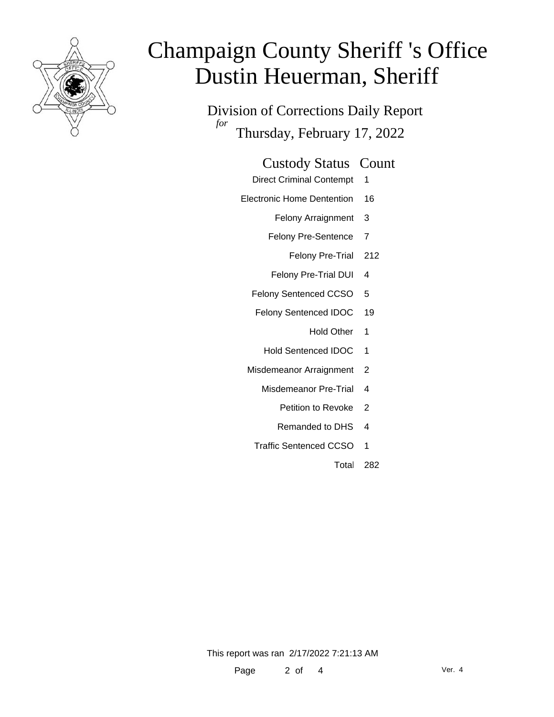

Division of Corrections Daily Report *for* Thursday, February 17, 2022

#### Custody Status Count

- Direct Criminal Contempt 1
- Electronic Home Dentention 16
	- Felony Arraignment 3
	- Felony Pre-Sentence 7
		- Felony Pre-Trial 212
	- Felony Pre-Trial DUI 4
	- Felony Sentenced CCSO 5
	- Felony Sentenced IDOC 19
		- Hold Other 1
		- Hold Sentenced IDOC 1
	- Misdemeanor Arraignment 2
		- Misdemeanor Pre-Trial 4
			- Petition to Revoke 2
			- Remanded to DHS 4
		- Traffic Sentenced CCSO 1
			- Total 282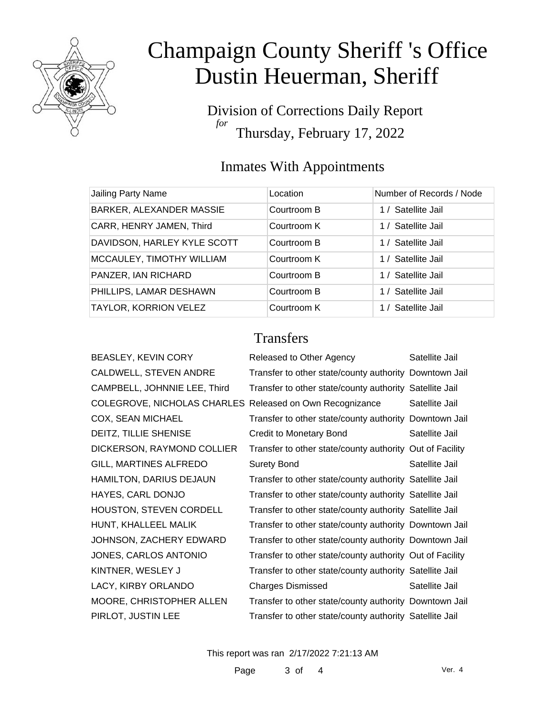

Division of Corrections Daily Report *for* Thursday, February 17, 2022

### Inmates With Appointments

| Jailing Party Name              | Location    | Number of Records / Node |
|---------------------------------|-------------|--------------------------|
| <b>BARKER, ALEXANDER MASSIE</b> | Courtroom B | 1 / Satellite Jail       |
| CARR, HENRY JAMEN, Third        | Courtroom K | 1 / Satellite Jail       |
| DAVIDSON, HARLEY KYLE SCOTT     | Courtroom B | 1 / Satellite Jail       |
| MCCAULEY, TIMOTHY WILLIAM       | Courtroom K | 1 / Satellite Jail       |
| PANZER, IAN RICHARD             | Courtroom B | 1 / Satellite Jail       |
| PHILLIPS, LAMAR DESHAWN         | Courtroom B | 1 / Satellite Jail       |
| <b>TAYLOR, KORRION VELEZ</b>    | Courtroom K | 1 / Satellite Jail       |

#### **Transfers**

| <b>BEASLEY, KEVIN CORY</b>                               | Released to Other Agency                                 | Satellite Jail |
|----------------------------------------------------------|----------------------------------------------------------|----------------|
| CALDWELL, STEVEN ANDRE                                   | Transfer to other state/county authority Downtown Jail   |                |
| CAMPBELL, JOHNNIE LEE, Third                             | Transfer to other state/county authority Satellite Jail  |                |
| COLEGROVE, NICHOLAS CHARLES Released on Own Recognizance |                                                          | Satellite Jail |
| COX, SEAN MICHAEL                                        | Transfer to other state/county authority Downtown Jail   |                |
| DEITZ, TILLIE SHENISE                                    | <b>Credit to Monetary Bond</b>                           | Satellite Jail |
| DICKERSON, RAYMOND COLLIER                               | Transfer to other state/county authority Out of Facility |                |
| GILL, MARTINES ALFREDO                                   | <b>Surety Bond</b>                                       | Satellite Jail |
| HAMILTON, DARIUS DEJAUN                                  | Transfer to other state/county authority Satellite Jail  |                |
| HAYES, CARL DONJO                                        | Transfer to other state/county authority Satellite Jail  |                |
| <b>HOUSTON, STEVEN CORDELL</b>                           | Transfer to other state/county authority Satellite Jail  |                |
| HUNT, KHALLEEL MALIK                                     | Transfer to other state/county authority Downtown Jail   |                |
| JOHNSON, ZACHERY EDWARD                                  | Transfer to other state/county authority Downtown Jail   |                |
| JONES, CARLOS ANTONIO                                    | Transfer to other state/county authority Out of Facility |                |
| KINTNER, WESLEY J                                        | Transfer to other state/county authority Satellite Jail  |                |
| LACY, KIRBY ORLANDO                                      | <b>Charges Dismissed</b>                                 | Satellite Jail |
| MOORE, CHRISTOPHER ALLEN                                 | Transfer to other state/county authority Downtown Jail   |                |
| PIRLOT, JUSTIN LEE                                       | Transfer to other state/county authority Satellite Jail  |                |